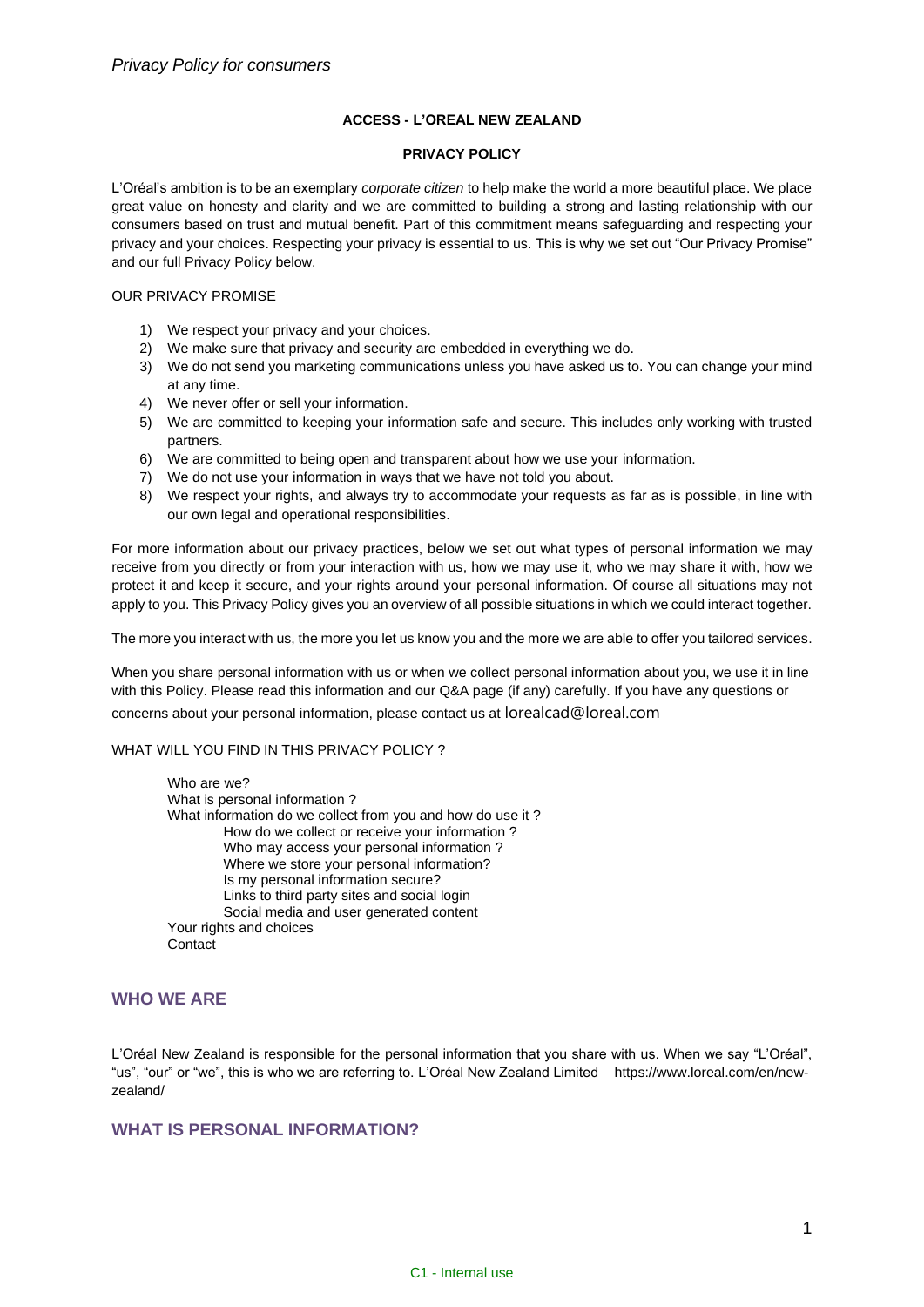## **ACCESS - L'OREAL NEW ZEALAND**

## **PRIVACY POLICY**

L'Oréal's ambition is to be an exemplary *corporate citizen* to help make the world a more beautiful place. We place great value on honesty and clarity and we are committed to building a strong and lasting relationship with our consumers based on trust and mutual benefit. Part of this commitment means safeguarding and respecting your privacy and your choices. Respecting your privacy is essential to us. This is why we set out "Our Privacy Promise" and our full Privacy Policy below.

#### OUR PRIVACY PROMISE

- 1) We respect your privacy and your choices.
- 2) We make sure that privacy and security are embedded in everything we do.
- 3) We do not send you marketing communications unless you have asked us to. You can change your mind at any time.
- 4) We never offer or sell your information.
- 5) We are committed to keeping your information safe and secure. This includes only working with trusted partners.
- 6) We are committed to being open and transparent about how we use your information.
- 7) We do not use your information in ways that we have not told you about.
- 8) We respect your rights, and always try to accommodate your requests as far as is possible, in line with our own legal and operational responsibilities.

For more information about our privacy practices, below we set out what types of personal information we may receive from you directly or from your interaction with us, how we may use it, who we may share it with, how we protect it and keep it secure, and your rights around your personal information. Of course all situations may not apply to you. This Privacy Policy gives you an overview of all possible situations in which we could interact together.

The more you interact with us, the more you let us know you and the more we are able to offer you tailored services.

When you share personal information with us or when we collect personal information about you, we use it in line with this Policy. Please read this information and our Q&A page (if any) carefully. If you have any questions or concerns about your personal information, please contact us at lorealcad@loreal.com

## WHAT WILL YOU FIND IN THIS PRIVACY POLICY ?

Who are we? What is personal information ? What information do we collect from you and how do use it ? How do we collect or receive your information ? Who may access your personal information ? Where we store your personal information? Is my personal information secure? Links to third party sites and social login Social media and user generated content Your rights and choices **Contact** 

# **WHO WE ARE**

L'Oréal New Zealand is responsible for the personal information that you share with us. When we say "L'Oréal", "us", "our" or "we", this is who we are referring to. L'Oréal New Zealand Limited [https://www.loreal.com/en/new](https://www.loreal.com/en/new-zealand/)[zealand/](https://www.loreal.com/en/new-zealand/)

## **WHAT IS PERSONAL INFORMATION?**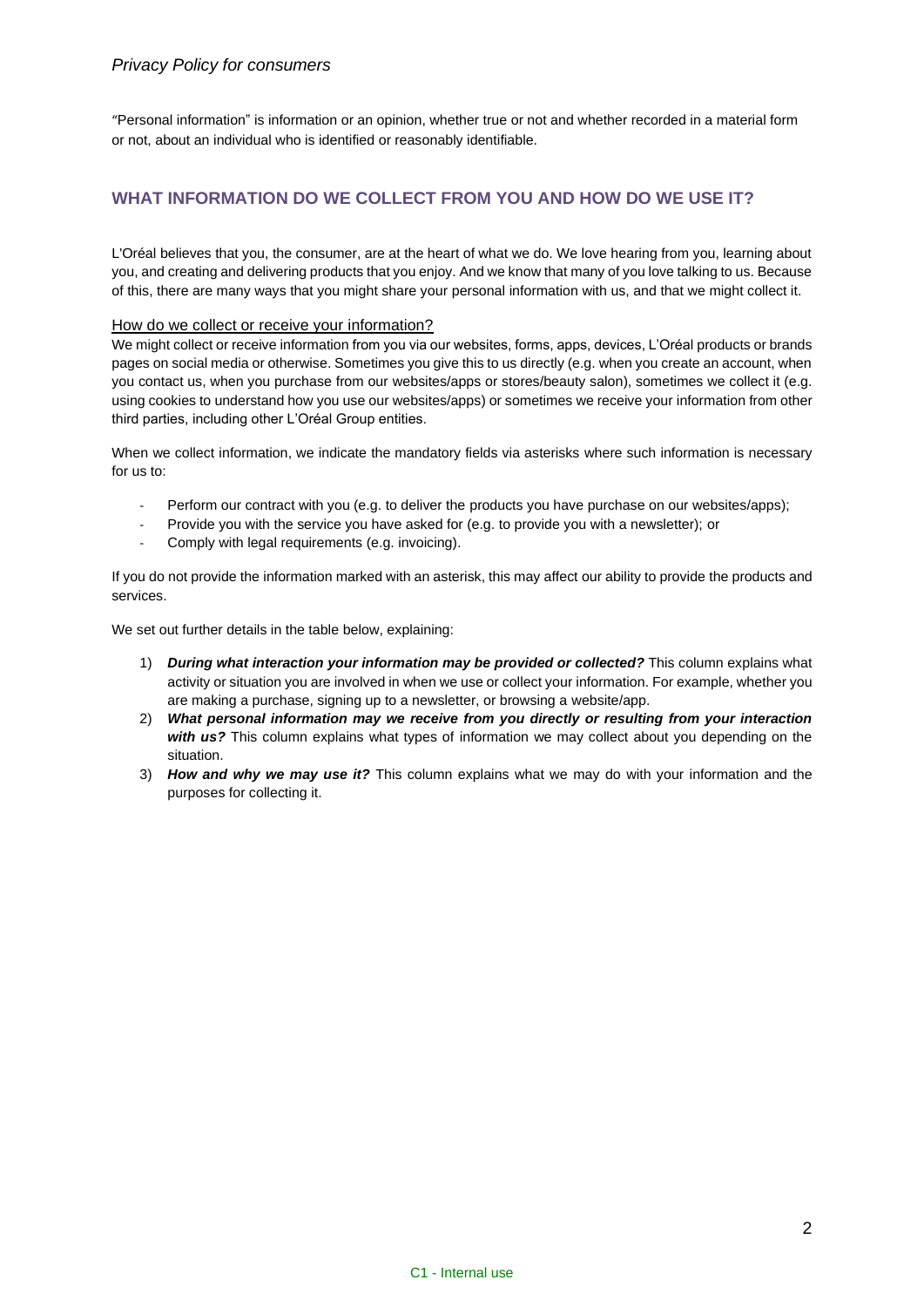## *Privacy Policy for consumers*

"Personal information" is information or an opinion, whether true or not and whether recorded in a material form or not, about an individual who is identified or reasonably identifiable.

# **WHAT INFORMATION DO WE COLLECT FROM YOU AND HOW DO WE USE IT?**

L'Oréal believes that you, the consumer, are at the heart of what we do. We love hearing from you, learning about you, and creating and delivering products that you enjoy. And we know that many of you love talking to us. Because of this, there are many ways that you might share your personal information with us, and that we might collect it.

## How do we collect or receive your information?

We might collect or receive information from you via our websites, forms, apps, devices, L'Oréal products or brands pages on social media or otherwise. Sometimes you give this to us directly (e.g. when you create an account, when you contact us, when you purchase from our websites/apps or stores/beauty salon), sometimes we collect it (e.g. using cookies to understand how you use our websites/apps) or sometimes we receive your information from other third parties, including other L'Oréal Group entities.

When we collect information, we indicate the mandatory fields via asterisks where such information is necessary for us to:

- Perform our contract with you (e.g. to deliver the products you have purchase on our websites/apps);
- Provide you with the service you have asked for (e.g. to provide you with a newsletter); or
- Comply with legal requirements (e.g. invoicing).

If you do not provide the information marked with an asterisk, this may affect our ability to provide the products and services.

We set out further details in the table below, explaining:

- 1) *During what interaction your information may be provided or collected?* This column explains what activity or situation you are involved in when we use or collect your information. For example, whether you are making a purchase, signing up to a newsletter, or browsing a website/app.
- 2) *What personal information may we receive from you directly or resulting from your interaction with us?* This column explains what types of information we may collect about you depending on the situation.
- 3) *How and why we may use it?* This column explains what we may do with your information and the purposes for collecting it.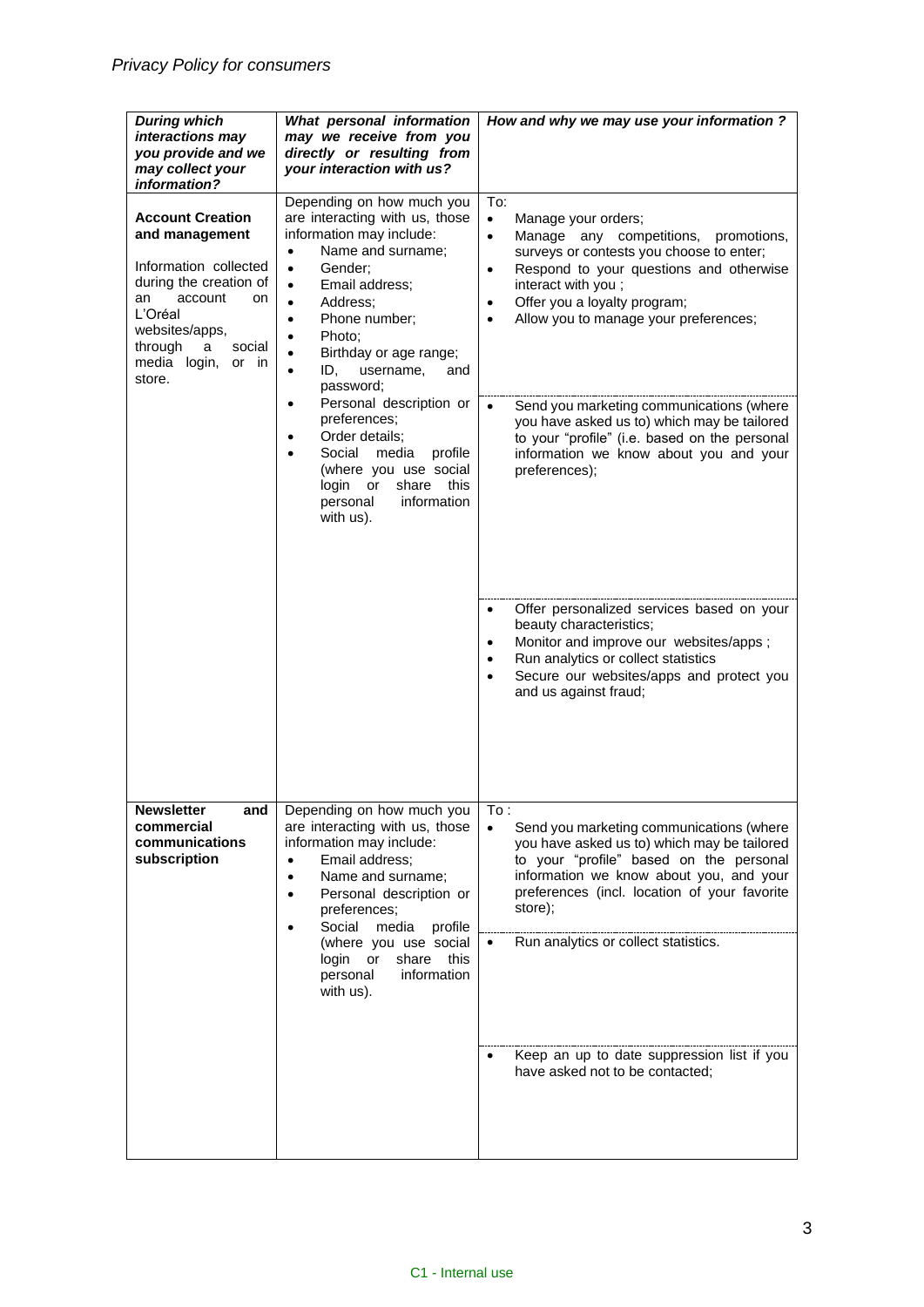| <b>During which</b><br>interactions may<br>you provide and we<br>may collect your<br>information?                                                                                                                                                                                                                                                                                                                                                                                                                                    | What personal information<br>may we receive from you<br>directly or resulting from<br>your interaction with us?                                                                                                                                                                                                           | How and why we may use your information?                                                                                                                                                                                                                                       |
|--------------------------------------------------------------------------------------------------------------------------------------------------------------------------------------------------------------------------------------------------------------------------------------------------------------------------------------------------------------------------------------------------------------------------------------------------------------------------------------------------------------------------------------|---------------------------------------------------------------------------------------------------------------------------------------------------------------------------------------------------------------------------------------------------------------------------------------------------------------------------|--------------------------------------------------------------------------------------------------------------------------------------------------------------------------------------------------------------------------------------------------------------------------------|
| Depending on how much you<br><b>Account Creation</b><br>are interacting with us, those<br>information may include:<br>and management<br>Name and surname;<br>$\bullet$<br>Information collected<br>Gender:<br>$\bullet$<br>during the creation of<br>Email address;<br>$\bullet$<br>account<br>an<br>on<br>Address;<br>$\bullet$<br>L'Oréal<br>Phone number;<br>websites/apps,<br>Photo;<br>through<br>a<br>social<br>Birthday or age range;<br>media login,<br>or in<br>ID,<br>username,<br>and<br>$\bullet$<br>store.<br>password; | To:<br>Manage your orders;<br>$\bullet$<br>Manage any competitions, promotions,<br>$\bullet$<br>surveys or contests you choose to enter;<br>Respond to your questions and otherwise<br>$\bullet$<br>interact with you;<br>Offer you a loyalty program;<br>$\bullet$<br>Allow you to manage your preferences;<br>$\bullet$ |                                                                                                                                                                                                                                                                                |
|                                                                                                                                                                                                                                                                                                                                                                                                                                                                                                                                      | Personal description or<br>preferences;<br>Order details:<br>$\bullet$<br>Social<br>media<br>profile<br>(where you use social<br>login<br>or<br>share<br>this<br>information<br>personal<br>with us).                                                                                                                     | Send you marketing communications (where<br>$\bullet$<br>you have asked us to) which may be tailored<br>to your "profile" (i.e. based on the personal<br>information we know about you and your<br>preferences);                                                               |
|                                                                                                                                                                                                                                                                                                                                                                                                                                                                                                                                      |                                                                                                                                                                                                                                                                                                                           | Offer personalized services based on your<br>$\bullet$<br>beauty characteristics;<br>Monitor and improve our websites/apps;<br>$\bullet$<br>Run analytics or collect statistics<br>$\bullet$<br>Secure our websites/apps and protect you<br>$\bullet$<br>and us against fraud; |
| <b>Newsletter</b><br>Depending on how much you<br>and<br>are interacting with us, those<br>commercial<br>communications<br>information may include:<br>subscription<br>Email address;<br>$\bullet$<br>Name and surname;<br>$\bullet$<br>Personal description or<br>$\bullet$<br>preferences;<br>Social<br>media<br>profile<br>(where you use social<br>login<br>or<br>share<br>this<br>information<br>personal<br>with us).                                                                                                          | To:<br>Send you marketing communications (where<br>$\bullet$<br>you have asked us to) which may be tailored<br>to your "profile" based on the personal<br>information we know about you, and your<br>preferences (incl. location of your favorite<br>store);                                                              |                                                                                                                                                                                                                                                                                |
|                                                                                                                                                                                                                                                                                                                                                                                                                                                                                                                                      | Run analytics or collect statistics.                                                                                                                                                                                                                                                                                      |                                                                                                                                                                                                                                                                                |
|                                                                                                                                                                                                                                                                                                                                                                                                                                                                                                                                      |                                                                                                                                                                                                                                                                                                                           | Keep an up to date suppression list if you<br>have asked not to be contacted;                                                                                                                                                                                                  |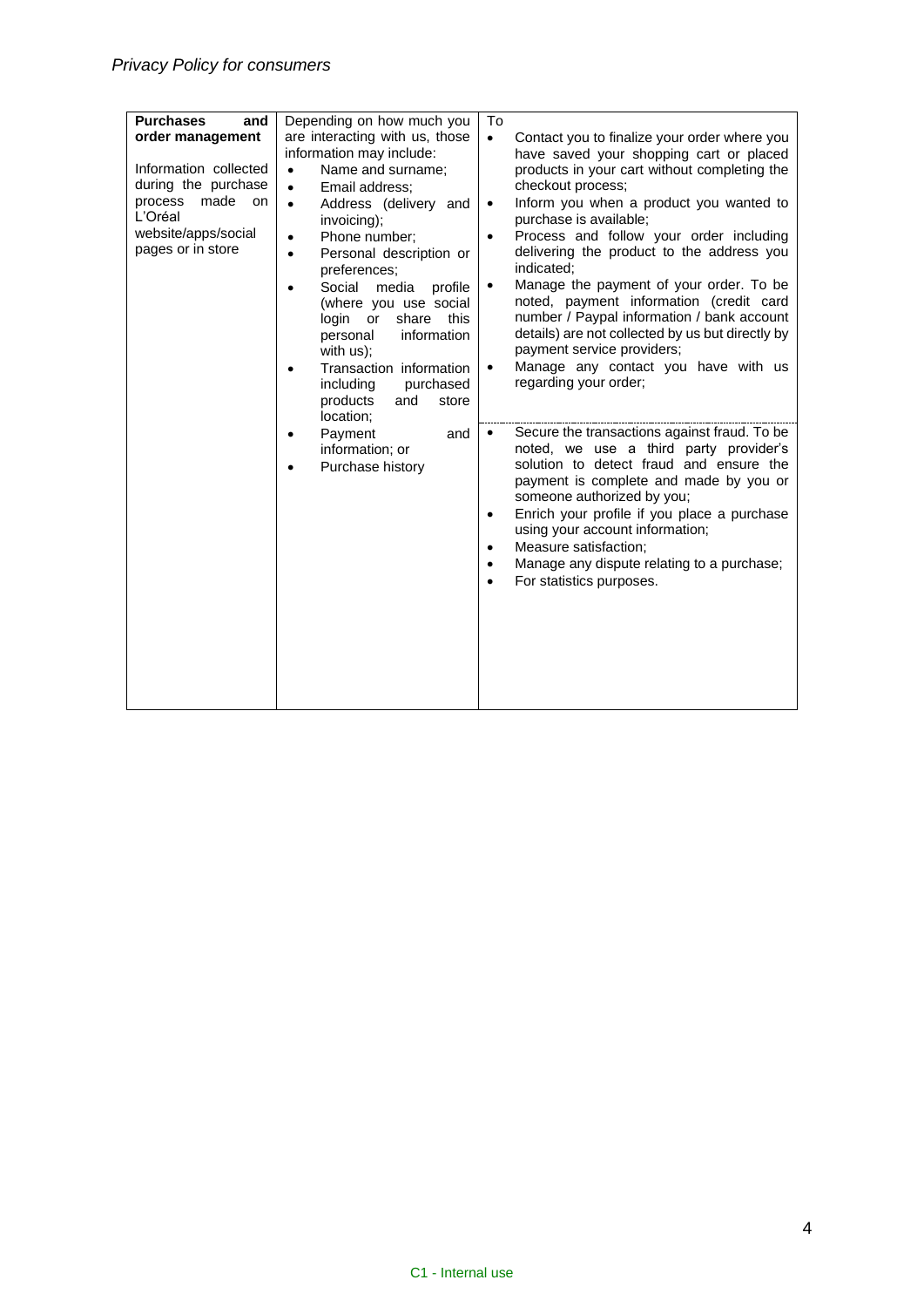| <b>Purchases</b><br>and                                                                                                   | Depending on how much you                                                                                                                                                                                                                                                                                                                                                                                                             | To                                                                                                                                                                                                                                                                                                                                                                                                                                                                                                                                                                                                                                |
|---------------------------------------------------------------------------------------------------------------------------|---------------------------------------------------------------------------------------------------------------------------------------------------------------------------------------------------------------------------------------------------------------------------------------------------------------------------------------------------------------------------------------------------------------------------------------|-----------------------------------------------------------------------------------------------------------------------------------------------------------------------------------------------------------------------------------------------------------------------------------------------------------------------------------------------------------------------------------------------------------------------------------------------------------------------------------------------------------------------------------------------------------------------------------------------------------------------------------|
| order management                                                                                                          | are interacting with us, those                                                                                                                                                                                                                                                                                                                                                                                                        | $\bullet$<br>Contact you to finalize your order where you                                                                                                                                                                                                                                                                                                                                                                                                                                                                                                                                                                         |
| Information collected<br>during the purchase<br>made on<br>process<br>L'Oréal<br>website/apps/social<br>pages or in store | information may include:<br>Name and surname;<br>$\bullet$<br>Email address;<br>$\bullet$<br>Address (delivery and<br>$\bullet$<br>invoicing);<br>Phone number;<br>$\bullet$<br>Personal description or<br>$\bullet$<br>preferences;<br>Social<br>media<br>profile<br>$\bullet$<br>(where you use social<br>this<br>login<br>or<br>share<br>information<br>personal<br>with us);<br>Transaction information<br>purchased<br>including | have saved your shopping cart or placed<br>products in your cart without completing the<br>checkout process;<br>Inform you when a product you wanted to<br>$\bullet$<br>purchase is available;<br>Process and follow your order including<br>$\bullet$<br>delivering the product to the address you<br>indicated;<br>Manage the payment of your order. To be<br>$\bullet$<br>noted, payment information (credit card<br>number / Paypal information / bank account<br>details) are not collected by us but directly by<br>payment service providers;<br>Manage any contact you have with us<br>$\bullet$<br>regarding your order; |
|                                                                                                                           | products<br>and<br>store<br>location;                                                                                                                                                                                                                                                                                                                                                                                                 |                                                                                                                                                                                                                                                                                                                                                                                                                                                                                                                                                                                                                                   |
|                                                                                                                           | Payment<br>and<br>information; or<br>Purchase history                                                                                                                                                                                                                                                                                                                                                                                 | Secure the transactions against fraud. To be<br>$\bullet$<br>noted, we use a third party provider's<br>solution to detect fraud and ensure the<br>payment is complete and made by you or<br>someone authorized by you;<br>Enrich your profile if you place a purchase<br>$\bullet$<br>using your account information;<br>Measure satisfaction;<br>$\bullet$<br>Manage any dispute relating to a purchase;<br>$\bullet$<br>For statistics purposes.<br>$\bullet$                                                                                                                                                                   |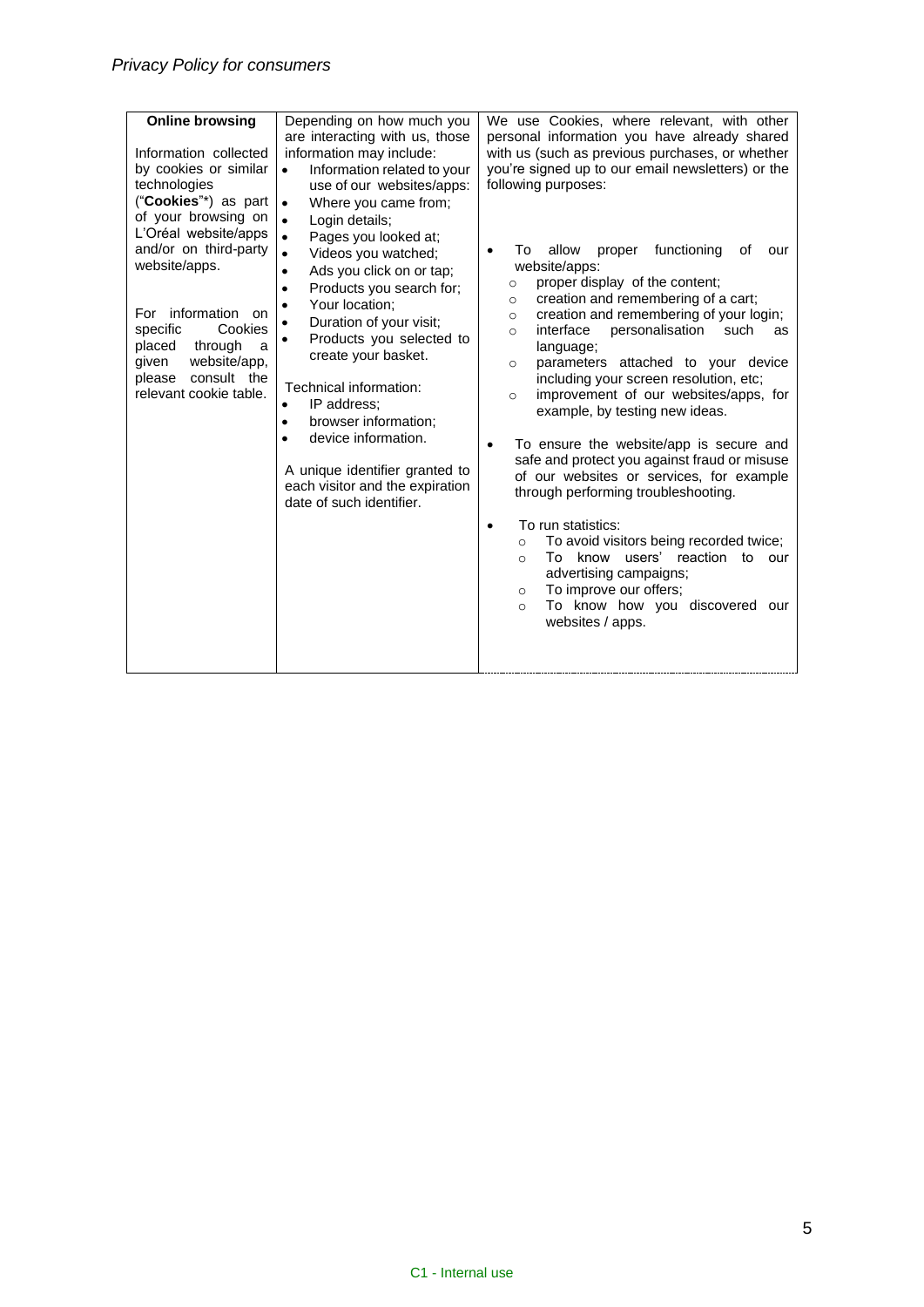| <b>Online browsing</b>                                                                                                                                                                                                                                                                                                                | Depending on how much you                                                                                                                                                                                                                                                                                                                                                                                                                                                                                                                                                                                                                                             | We use Cookies, where relevant, with other                                                                                                                                                                                                                                                                                                                                                                                                                                                                                                                                                                                                                                                                                                                                                                                                                                                                                                                                                                                                                                                                                 |
|---------------------------------------------------------------------------------------------------------------------------------------------------------------------------------------------------------------------------------------------------------------------------------------------------------------------------------------|-----------------------------------------------------------------------------------------------------------------------------------------------------------------------------------------------------------------------------------------------------------------------------------------------------------------------------------------------------------------------------------------------------------------------------------------------------------------------------------------------------------------------------------------------------------------------------------------------------------------------------------------------------------------------|----------------------------------------------------------------------------------------------------------------------------------------------------------------------------------------------------------------------------------------------------------------------------------------------------------------------------------------------------------------------------------------------------------------------------------------------------------------------------------------------------------------------------------------------------------------------------------------------------------------------------------------------------------------------------------------------------------------------------------------------------------------------------------------------------------------------------------------------------------------------------------------------------------------------------------------------------------------------------------------------------------------------------------------------------------------------------------------------------------------------------|
| Information collected<br>by cookies or similar<br>technologies<br>("Cookies"*) as part<br>of your browsing on<br>L'Oréal website/apps<br>and/or on third-party<br>website/apps.<br>information on<br>For<br>Cookies<br>specific<br>through<br>placed<br>a<br>website/app,<br>given<br>consult the<br>please<br>relevant cookie table. | are interacting with us, those<br>information may include:<br>Information related to your<br>$\bullet$<br>use of our websites/apps:<br>Where you came from;<br>$\bullet$<br>Login details;<br>$\bullet$<br>Pages you looked at;<br>Videos you watched;<br>Ads you click on or tap;<br>$\bullet$<br>Products you search for;<br>$\bullet$<br>Your location:<br>٠<br>Duration of your visit;<br>Products you selected to<br>create your basket.<br>Technical information:<br>IP address:<br>٠<br>browser information;<br>$\bullet$<br>device information.<br>$\bullet$<br>A unique identifier granted to<br>each visitor and the expiration<br>date of such identifier. | personal information you have already shared<br>with us (such as previous purchases, or whether<br>you're signed up to our email newsletters) or the<br>following purposes:<br>allow<br>functioning<br>To<br>proper<br>οf<br>our<br>website/apps:<br>proper display of the content;<br>$\circ$<br>creation and remembering of a cart;<br>$\circ$<br>creation and remembering of your login;<br>$\circ$<br>interface<br>personalisation<br>such<br>as<br>$\circ$<br>language;<br>parameters attached to your device<br>$\circ$<br>including your screen resolution, etc;<br>improvement of our websites/apps, for<br>$\circ$<br>example, by testing new ideas.<br>To ensure the website/app is secure and<br>$\bullet$<br>safe and protect you against fraud or misuse<br>of our websites or services, for example<br>through performing troubleshooting.<br>To run statistics:<br>To avoid visitors being recorded twice;<br>$\circ$<br>know users' reaction<br>Т٥<br>to<br>our<br>$\circ$<br>advertising campaigns;<br>To improve our offers;<br>$\circ$<br>To know how you discovered our<br>$\circ$<br>websites / apps. |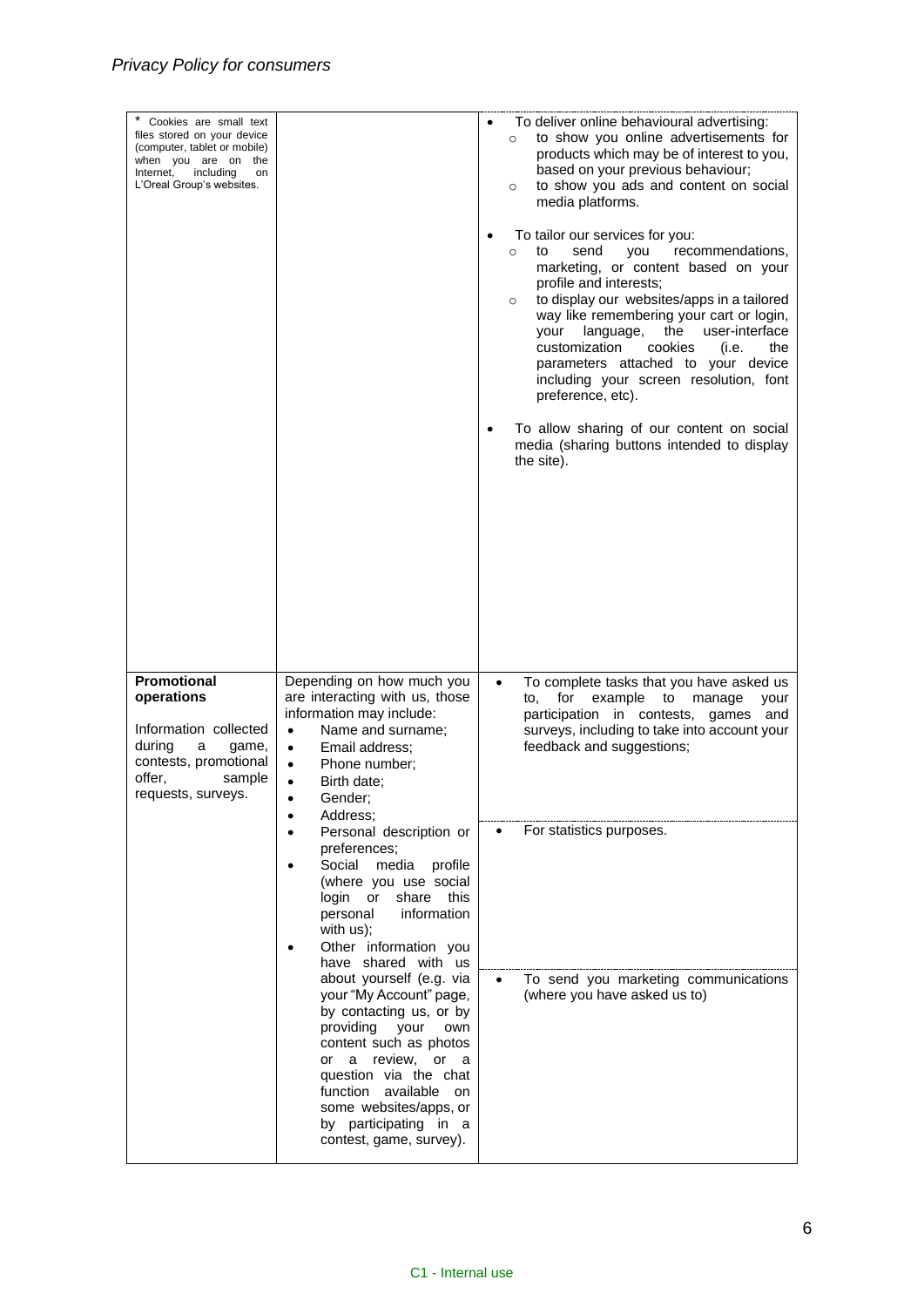| Cookies are small text<br>files stored on your device<br>(computer, tablet or mobile)<br>when you are on the<br>Internet,<br>including<br>on<br>L'Oreal Group's websites. |                                                                                                                                                                                                                                                                                                                                                                                                                                                                                                                                                                                                                                                                                                                                     | To deliver online behavioural advertising:<br>to show you online advertisements for<br>$\circ$<br>products which may be of interest to you,<br>based on your previous behaviour;<br>to show you ads and content on social<br>$\circ$<br>media platforms.<br>To tailor our services for you:<br>send<br>you<br>recommendations,<br>to<br>$\circ$<br>marketing, or content based on your<br>profile and interests;<br>to display our websites/apps in a tailored<br>$\circ$<br>way like remembering your cart or login,<br>user-interface<br>language,<br>the<br>your<br>customization<br>cookies<br>(i.e.<br>the<br>parameters attached to your device<br>including your screen resolution, font<br>preference, etc).<br>To allow sharing of our content on social<br>media (sharing buttons intended to display<br>the site). |
|---------------------------------------------------------------------------------------------------------------------------------------------------------------------------|-------------------------------------------------------------------------------------------------------------------------------------------------------------------------------------------------------------------------------------------------------------------------------------------------------------------------------------------------------------------------------------------------------------------------------------------------------------------------------------------------------------------------------------------------------------------------------------------------------------------------------------------------------------------------------------------------------------------------------------|-------------------------------------------------------------------------------------------------------------------------------------------------------------------------------------------------------------------------------------------------------------------------------------------------------------------------------------------------------------------------------------------------------------------------------------------------------------------------------------------------------------------------------------------------------------------------------------------------------------------------------------------------------------------------------------------------------------------------------------------------------------------------------------------------------------------------------|
| <b>Promotional</b><br>operations<br>Information collected<br>during<br>a<br>game,<br>contests, promotional<br>offer,<br>sample<br>requests, surveys.                      | Depending on how much you<br>are interacting with us, those<br>information may include:<br>Name and surname:<br>Email address:<br>Phone number;<br>$\bullet$<br>Birth date;<br>Gender;<br>$\bullet$<br>Address;<br>Personal description or<br>preferences;<br>media<br>Social<br>profile<br>(where you use social<br>login<br>or<br>share<br>this<br>personal<br>information<br>with us);<br>Other information you<br>have shared with us<br>about yourself (e.g. via<br>your "My Account" page,<br>by contacting us, or by<br>providing your<br>own<br>content such as photos<br>or a review, or a<br>question via the chat<br>function available on<br>some websites/apps, or<br>by participating in a<br>contest, game, survey). | To complete tasks that you have asked us<br>for<br>example<br>to.<br>to<br>manage<br>your<br>participation in contests, games<br>and<br>surveys, including to take into account your<br>feedback and suggestions;<br>For statistics purposes.<br>To send you marketing communications<br>(where you have asked us to)                                                                                                                                                                                                                                                                                                                                                                                                                                                                                                         |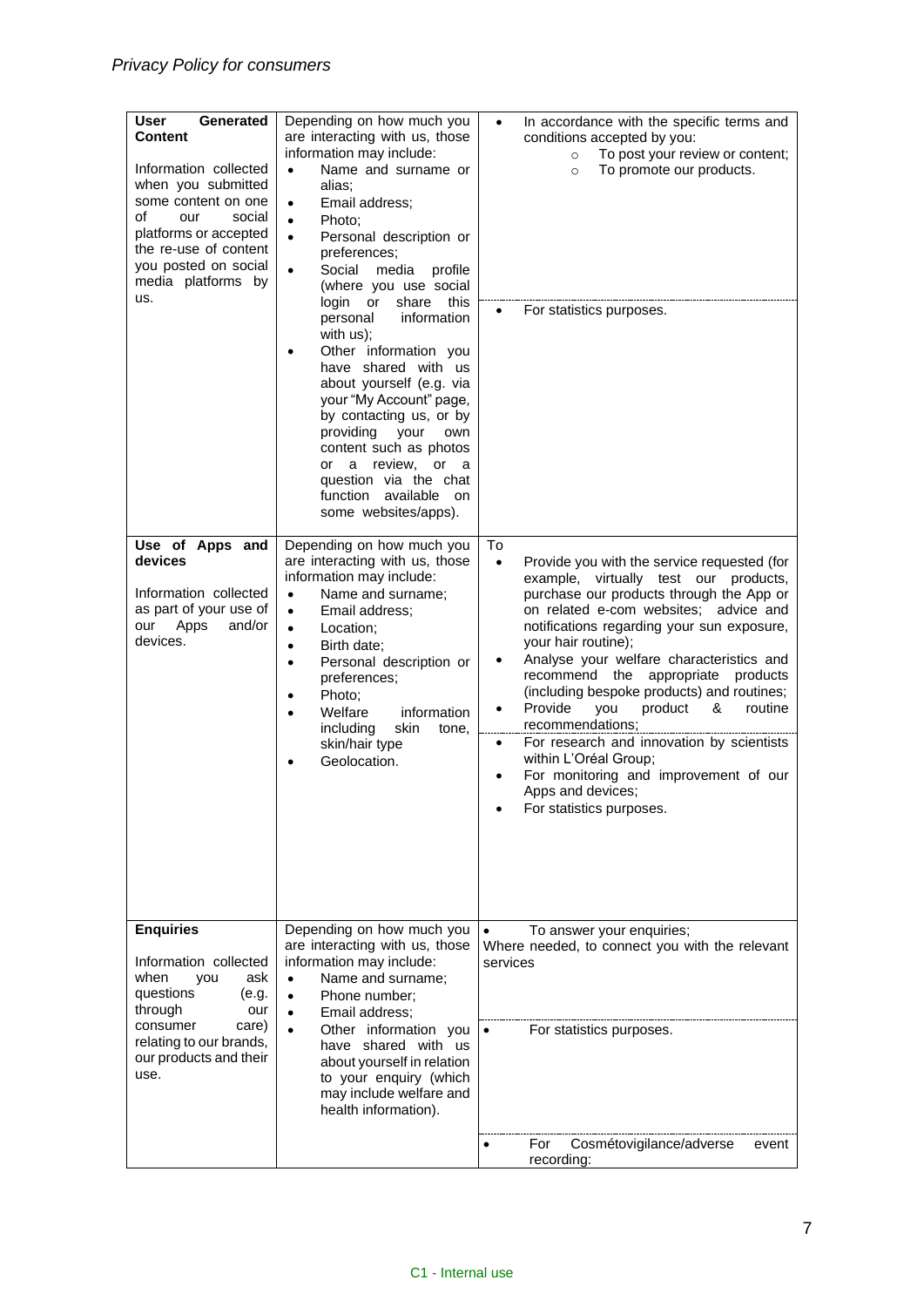| User<br>Generated<br>Content<br>Information collected<br>when you submitted<br>some content on one<br>social<br>οf<br>our<br>platforms or accepted<br>the re-use of content<br>you posted on social<br>media platforms by<br>us. | Depending on how much you<br>are interacting with us, those<br>information may include:<br>Name and surname or<br>alias:<br>Email address;<br>$\bullet$<br>Photo:<br>$\bullet$<br>Personal description or<br>$\bullet$<br>preferences;<br>Social<br>media<br>profile<br>(where you use social<br>login or<br>share this<br>information<br>personal<br>with us);<br>Other information you<br>$\bullet$<br>have shared with us<br>about yourself (e.g. via<br>your "My Account" page,<br>by contacting us, or by<br>providing<br>your<br>own<br>content such as photos<br>or a review, or a<br>question via the chat<br>function available on<br>some websites/apps). | In accordance with the specific terms and<br>$\bullet$<br>conditions accepted by you:<br>To post your review or content;<br>$\circ$<br>To promote our products.<br>$\circ$<br>For statistics purposes.                                                                                                                                                                                                                                                                                                                                                                                                                                             |
|----------------------------------------------------------------------------------------------------------------------------------------------------------------------------------------------------------------------------------|---------------------------------------------------------------------------------------------------------------------------------------------------------------------------------------------------------------------------------------------------------------------------------------------------------------------------------------------------------------------------------------------------------------------------------------------------------------------------------------------------------------------------------------------------------------------------------------------------------------------------------------------------------------------|----------------------------------------------------------------------------------------------------------------------------------------------------------------------------------------------------------------------------------------------------------------------------------------------------------------------------------------------------------------------------------------------------------------------------------------------------------------------------------------------------------------------------------------------------------------------------------------------------------------------------------------------------|
|                                                                                                                                                                                                                                  |                                                                                                                                                                                                                                                                                                                                                                                                                                                                                                                                                                                                                                                                     |                                                                                                                                                                                                                                                                                                                                                                                                                                                                                                                                                                                                                                                    |
| Use of Apps and<br>devices<br>Information collected<br>as part of your use of<br>Apps<br>and/or<br>our<br>devices.                                                                                                               | Depending on how much you<br>are interacting with us, those<br>information may include:<br>Name and surname;<br>$\bullet$<br>Email address:<br>$\bullet$<br>Location;<br>$\bullet$<br>Birth date;<br>$\bullet$<br>Personal description or<br>$\bullet$<br>preferences;<br>Photo;<br>٠<br>Welfare<br>information<br>$\bullet$<br>including<br>skin<br>tone,<br>skin/hair type<br>Geolocation.                                                                                                                                                                                                                                                                        | To<br>Provide you with the service requested (for<br>$\bullet$<br>example, virtually test our products,<br>purchase our products through the App or<br>on related e-com websites; advice and<br>notifications regarding your sun exposure,<br>your hair routine);<br>Analyse your welfare characteristics and<br>recommend the appropriate<br>products<br>(including bespoke products) and routines;<br>Provide<br>product<br>routine<br>you<br>&<br>recommendations;<br>For research and innovation by scientists<br>$\bullet$<br>within L'Oréal Group;<br>For monitoring and improvement of our<br>Apps and devices;<br>For statistics purposes. |
| <b>Enquiries</b><br>Information collected<br>when<br>you<br>ask<br>questions<br>(e.g.<br>through<br>our<br>consumer<br>care)<br>relating to our brands,<br>our products and their<br>use.                                        | Depending on how much you<br>are interacting with us, those<br>information may include:<br>Name and surname;<br>Phone number:<br>Email address:<br>$\bullet$<br>Other information you<br>$\bullet$<br>have shared with us<br>about yourself in relation<br>to your enquiry (which<br>may include welfare and<br>health information).                                                                                                                                                                                                                                                                                                                                | To answer your enquiries;<br>Where needed, to connect you with the relevant<br>services<br>For statistics purposes.<br>$\bullet$<br>For<br>Cosmétovigilance/adverse<br>event<br>recording:                                                                                                                                                                                                                                                                                                                                                                                                                                                         |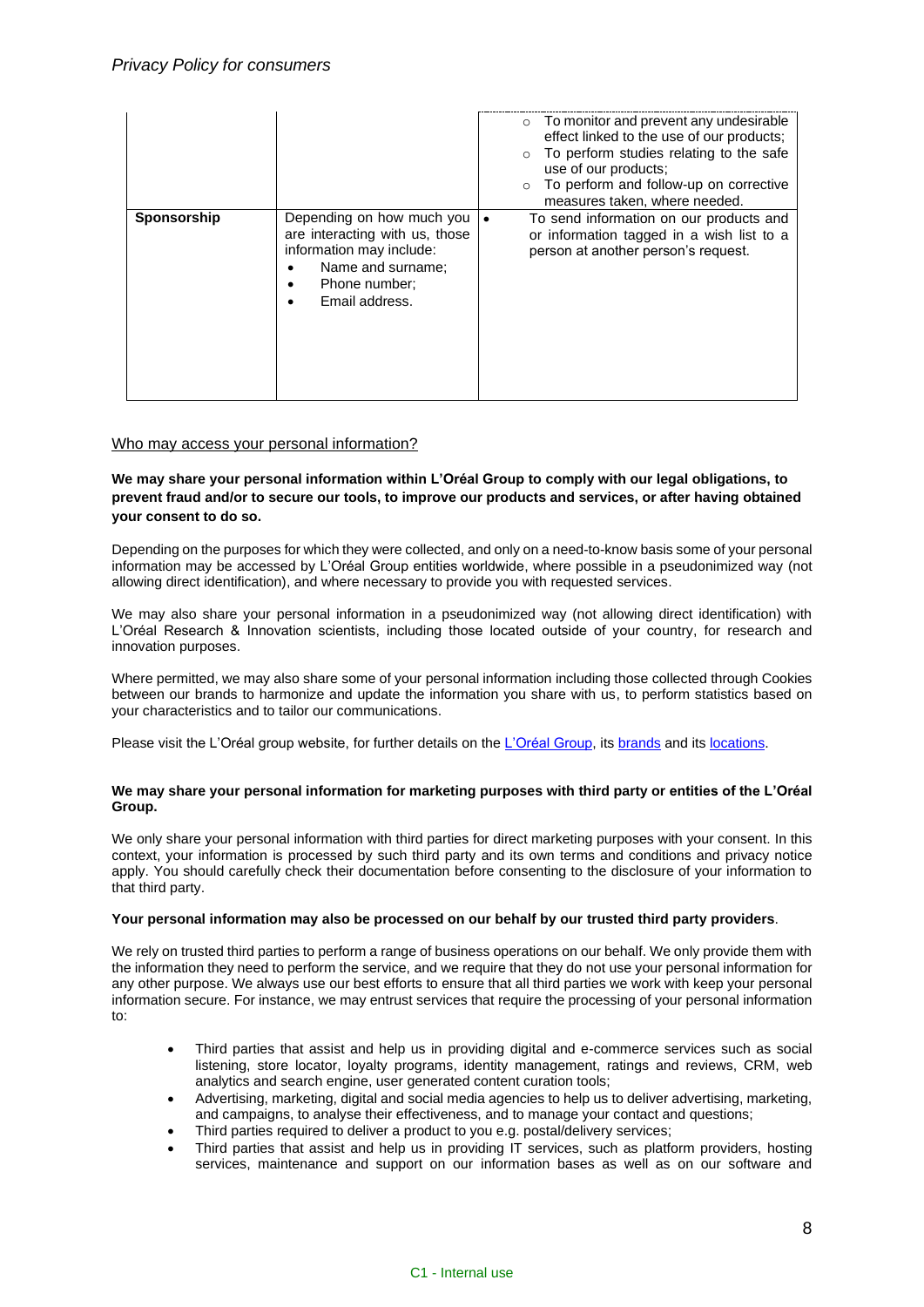|             |                                                                                                                                                           | $\circ$ To monitor and prevent any undesirable<br>effect linked to the use of our products;<br>$\circ$ To perform studies relating to the safe<br>use of our products;<br>To perform and follow-up on corrective<br>measures taken, where needed. |
|-------------|-----------------------------------------------------------------------------------------------------------------------------------------------------------|---------------------------------------------------------------------------------------------------------------------------------------------------------------------------------------------------------------------------------------------------|
| Sponsorship | Depending on how much you<br>are interacting with us, those<br>information may include:<br>Name and surname;<br>Phone number:<br>٠<br>Email address.<br>٠ | To send information on our products and<br>or information tagged in a wish list to a<br>person at another person's request.                                                                                                                       |

## Who may access your personal information?

**We may share your personal information within L'Oréal Group to comply with our legal obligations, to prevent fraud and/or to secure our tools, to improve our products and services, or after having obtained your consent to do so.**

Depending on the purposes for which they were collected, and only on a need-to-know basis some of your personal information may be accessed by L'Oréal Group entities worldwide, where possible in a pseudonimized way (not allowing direct identification), and where necessary to provide you with requested services.

We may also share your personal information in a pseudonimized way (not allowing direct identification) with L'Oréal Research & Innovation scientists, including those located outside of your country, for research and innovation purposes.

Where permitted, we may also share some of your personal information including those collected through Cookies between our brands to harmonize and update the information you share with us, to perform statistics based on your characteristics and to tailor our communications.

Please visit the L'Oréal group website, for further details on the [L'Oréal Group,](http://www.loreal.com/group) its [brands](http://www.loreal.com/brand) and its [locations.](http://www.loreal.com/group/our-activities/l%E2%80%99or%C3%A9al-around-the-world)

## **We may share your personal information for marketing purposes with third party or entities of the L'Oréal Group.**

We only share your personal information with third parties for direct marketing purposes with your consent. In this context, your information is processed by such third party and its own terms and conditions and privacy notice apply. You should carefully check their documentation before consenting to the disclosure of your information to that third party.

#### **Your personal information may also be processed on our behalf by our trusted third party providers**.

We rely on trusted third parties to perform a range of business operations on our behalf. We only provide them with the information they need to perform the service, and we require that they do not use your personal information for any other purpose. We always use our best efforts to ensure that all third parties we work with keep your personal information secure. For instance, we may entrust services that require the processing of your personal information to:

- Third parties that assist and help us in providing digital and e-commerce services such as social listening, store locator, loyalty programs, identity management, ratings and reviews, CRM, web analytics and search engine, user generated content curation tools;
- Advertising, marketing, digital and social media agencies to help us to deliver advertising, marketing, and campaigns, to analyse their effectiveness, and to manage your contact and questions;
- Third parties required to deliver a product to you e.g. postal/delivery services;
- Third parties that assist and help us in providing IT services, such as platform providers, hosting services, maintenance and support on our information bases as well as on our software and

#### C1 - Internal use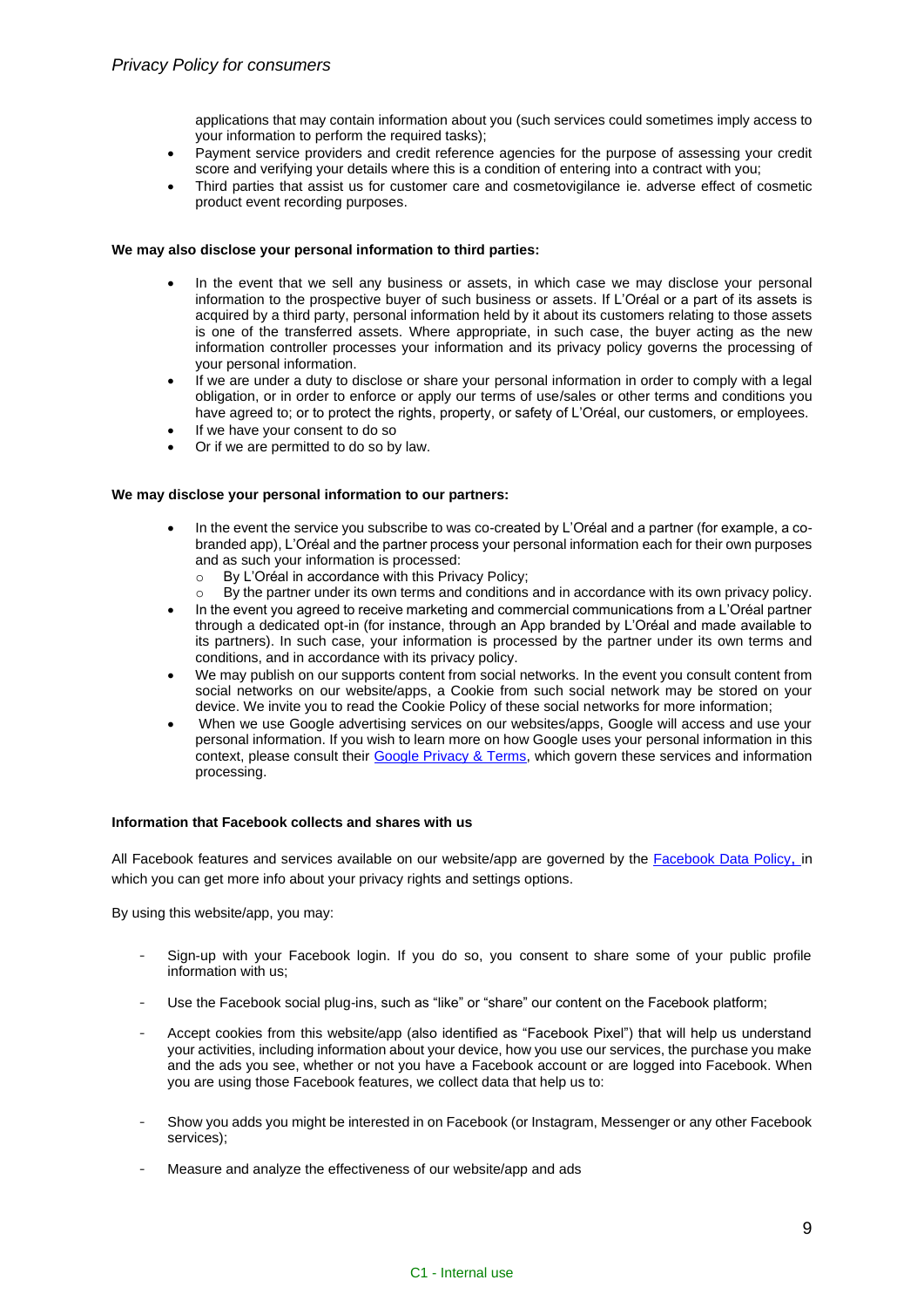applications that may contain information about you (such services could sometimes imply access to your information to perform the required tasks);

- Payment service providers and credit reference agencies for the purpose of assessing your credit score and verifying your details where this is a condition of entering into a contract with you;
- Third parties that assist us for customer care and cosmetovigilance ie. adverse effect of cosmetic product event recording purposes.

#### **We may also disclose your personal information to third parties:**

- In the event that we sell any business or assets, in which case we may disclose your personal information to the prospective buyer of such business or assets. If L'Oréal or a part of its assets is acquired by a third party, personal information held by it about its customers relating to those assets is one of the transferred assets. Where appropriate, in such case, the buyer acting as the new information controller processes your information and its privacy policy governs the processing of your personal information.
- If we are under a duty to disclose or share your personal information in order to comply with a legal obligation, or in order to enforce or apply our terms of use/sales or other terms and conditions you have agreed to; or to protect the rights, property, or safety of L'Oréal, our customers, or employees.
- If we have your consent to do so
- Or if we are permitted to do so by law.

#### **We may disclose your personal information to our partners:**

- In the event the service you subscribe to was co-created by L'Oréal and a partner (for example, a cobranded app), L'Oréal and the partner process your personal information each for their own purposes and as such your information is processed:
	- o By L'Oréal in accordance with this Privacy Policy;
	- By the partner under its own terms and conditions and in accordance with its own privacy policy.
- In the event you agreed to receive marketing and commercial communications from a L'Oréal partner through a dedicated opt-in (for instance, through an App branded by L'Oréal and made available to its partners). In such case, your information is processed by the partner under its own terms and conditions, and in accordance with its privacy policy.
- We may publish on our supports content from social networks. In the event you consult content from social networks on our website/apps, a Cookie from such social network may be stored on your device. We invite you to read the Cookie Policy of these social networks for more information;
- When we use Google advertising services on our websites/apps, Google will access and use your personal information. If you wish to learn more on how Google uses your personal information in this context, please consult their [Google Privacy & Terms,](https://policies.google.com/technologies/partner-sites?hl=en) which govern these services and information processing.

## **Information that Facebook collects and shares with us**

All Facebook features and services available on our website/app are governed by the [Facebook Data Policy](https://www.facebook.com/policy.php), in which you can get more info about your privacy rights and settings options.

By using this website/app, you may:

- Sign-up with your Facebook login. If you do so, you consent to share some of your public profile information with us;
- Use the Facebook social plug-ins, such as "like" or "share" our content on the Facebook platform;
- Accept cookies from this website/app (also identified as "Facebook Pixel") that will help us understand your activities, including information about your device, how you use our services, the purchase you make and the ads you see, whether or not you have a Facebook account or are logged into Facebook. When you are using those Facebook features, we collect data that help us to:
- Show you adds you might be interested in on Facebook (or Instagram, Messenger or any other Facebook services);
- Measure and analyze the effectiveness of our website/app and ads

#### C1 - Internal use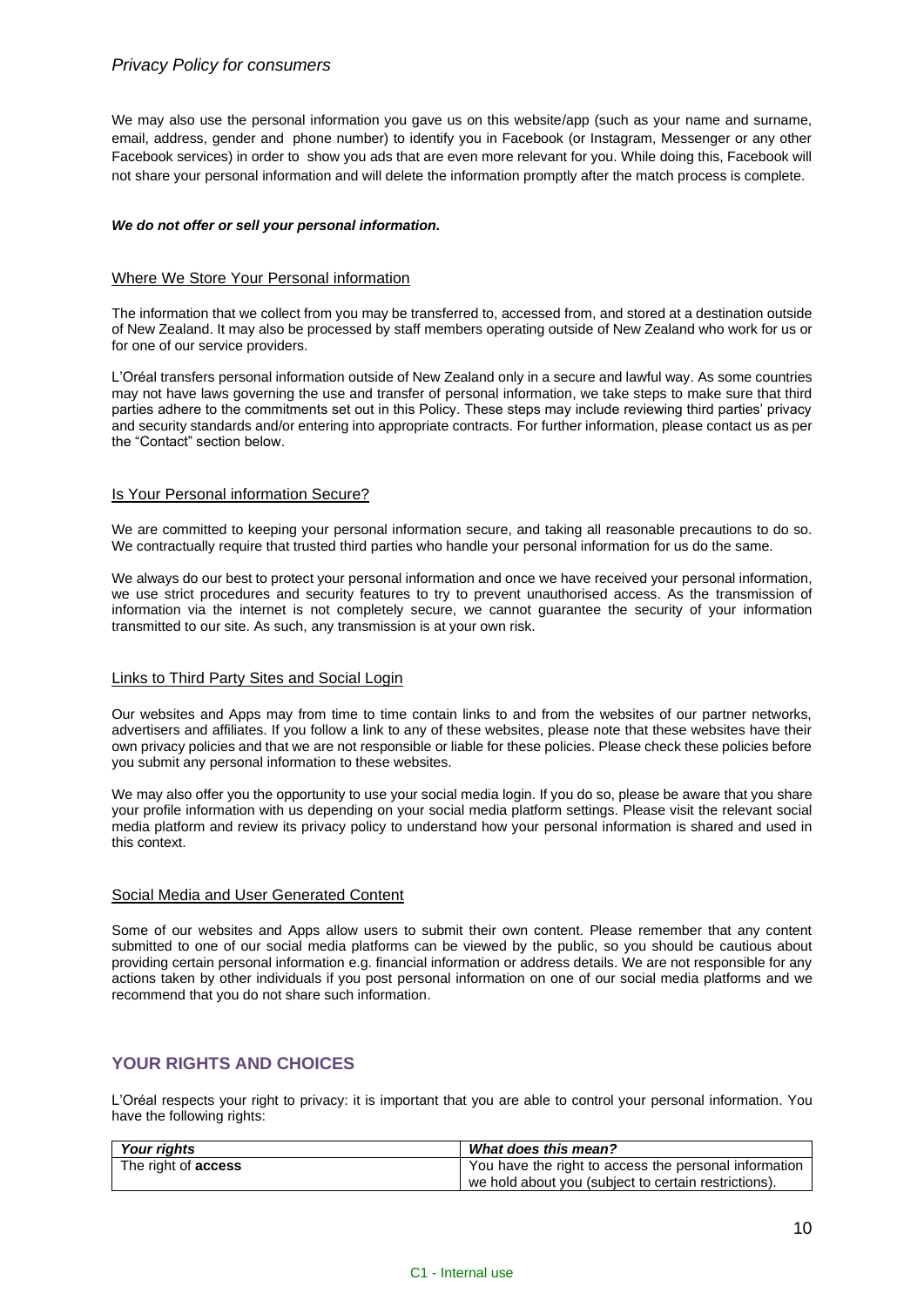## *Privacy Policy for consumers*

We may also use the personal information you gave us on this website/app (such as your name and surname, email, address, gender and phone number) to identify you in Facebook (or Instagram, Messenger or any other Facebook services) in order to show you ads that are even more relevant for you. While doing this, Facebook will not share your personal information and will delete the information promptly after the match process is complete.

## *We do not offer or sell your personal information.*

## Where We Store Your Personal information

The information that we collect from you may be transferred to, accessed from, and stored at a destination outside of New Zealand. It may also be processed by staff members operating outside of New Zealand who work for us or for one of our service providers.

L'Oréal transfers personal information outside of New Zealand only in a secure and lawful way. As some countries may not have laws governing the use and transfer of personal information, we take steps to make sure that third parties adhere to the commitments set out in this Policy. These steps may include reviewing third parties' privacy and security standards and/or entering into appropriate contracts. For further information, please contact us as per the "Contact" section below.

## Is Your Personal information Secure?

We are committed to keeping your personal information secure, and taking all reasonable precautions to do so. We contractually require that trusted third parties who handle your personal information for us do the same.

We always do our best to protect your personal information and once we have received your personal information, we use strict procedures and security features to try to prevent unauthorised access. As the transmission of information via the internet is not completely secure, we cannot guarantee the security of your information transmitted to our site. As such, any transmission is at your own risk.

## Links to Third Party Sites and Social Login

Our websites and Apps may from time to time contain links to and from the websites of our partner networks, advertisers and affiliates. If you follow a link to any of these websites, please note that these websites have their own privacy policies and that we are not responsible or liable for these policies. Please check these policies before you submit any personal information to these websites.

We may also offer you the opportunity to use your social media login. If you do so, please be aware that you share your profile information with us depending on your social media platform settings. Please visit the relevant social media platform and review its privacy policy to understand how your personal information is shared and used in this context.

## Social Media and User Generated Content

Some of our websites and Apps allow users to submit their own content. Please remember that any content submitted to one of our social media platforms can be viewed by the public, so you should be cautious about providing certain personal information e.g. financial information or address details. We are not responsible for any actions taken by other individuals if you post personal information on one of our social media platforms and we recommend that you do not share such information.

## **YOUR RIGHTS AND CHOICES**

L'Oréal respects your right to privacy: it is important that you are able to control your personal information. You have the following rights:

| <b>Your rights</b>         | What does this mean?                                  |
|----------------------------|-------------------------------------------------------|
| The right of <b>access</b> | You have the right to access the personal information |
|                            | we hold about you (subject to certain restrictions).  |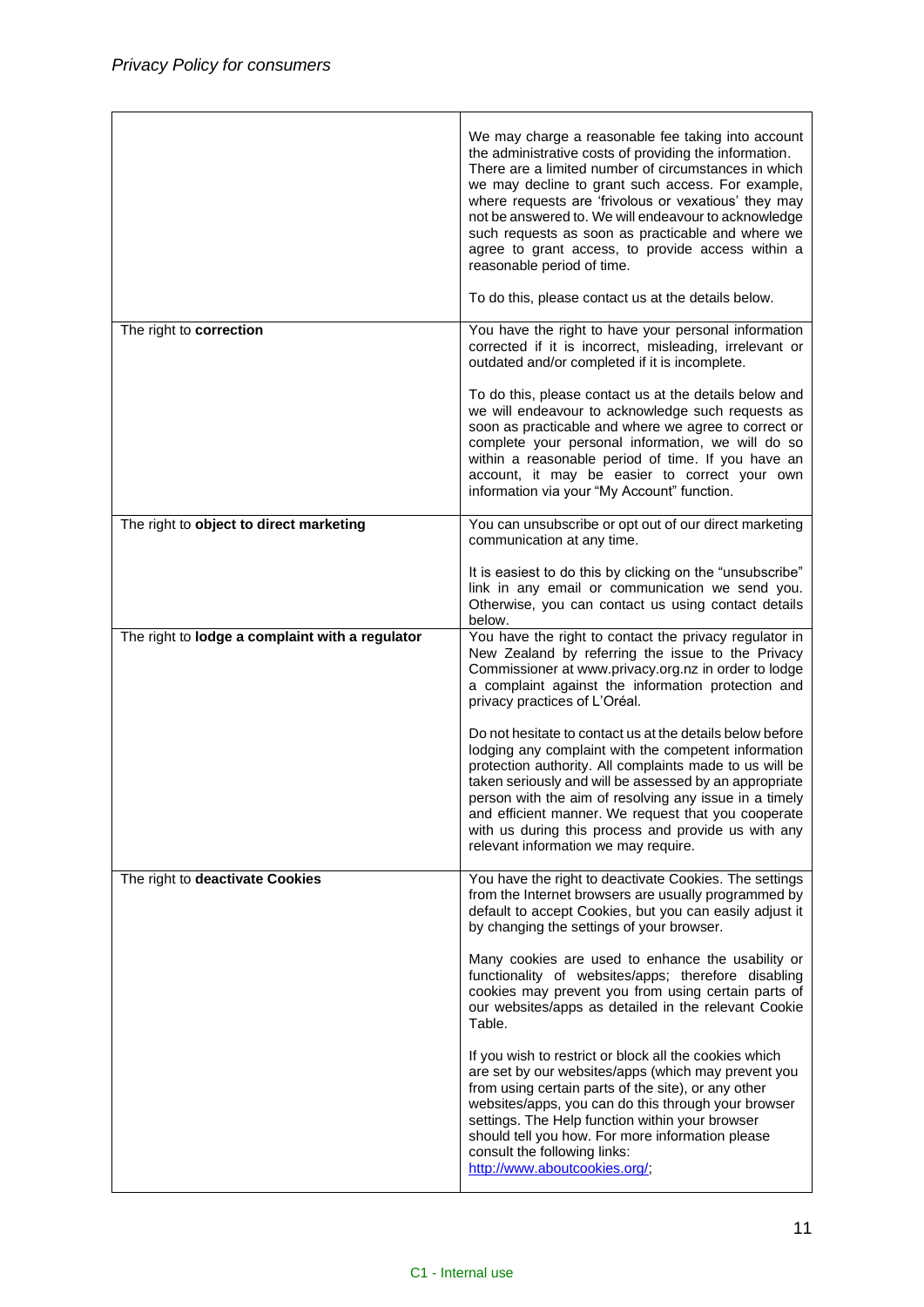|                                                 | We may charge a reasonable fee taking into account<br>the administrative costs of providing the information.<br>There are a limited number of circumstances in which<br>we may decline to grant such access. For example,<br>where requests are 'frivolous or vexatious' they may<br>not be answered to. We will endeavour to acknowledge<br>such requests as soon as practicable and where we<br>agree to grant access, to provide access within a<br>reasonable period of time. |
|-------------------------------------------------|-----------------------------------------------------------------------------------------------------------------------------------------------------------------------------------------------------------------------------------------------------------------------------------------------------------------------------------------------------------------------------------------------------------------------------------------------------------------------------------|
|                                                 | To do this, please contact us at the details below.                                                                                                                                                                                                                                                                                                                                                                                                                               |
| The right to correction                         | You have the right to have your personal information<br>corrected if it is incorrect, misleading, irrelevant or<br>outdated and/or completed if it is incomplete.                                                                                                                                                                                                                                                                                                                 |
|                                                 | To do this, please contact us at the details below and<br>we will endeavour to acknowledge such requests as<br>soon as practicable and where we agree to correct or<br>complete your personal information, we will do so<br>within a reasonable period of time. If you have an<br>account, it may be easier to correct your own<br>information via your "My Account" function.                                                                                                    |
| The right to object to direct marketing         | You can unsubscribe or opt out of our direct marketing<br>communication at any time.                                                                                                                                                                                                                                                                                                                                                                                              |
|                                                 | It is easiest to do this by clicking on the "unsubscribe"<br>link in any email or communication we send you.<br>Otherwise, you can contact us using contact details<br>below.                                                                                                                                                                                                                                                                                                     |
| The right to lodge a complaint with a regulator | You have the right to contact the privacy regulator in<br>New Zealand by referring the issue to the Privacy<br>Commissioner at www.privacy.org.nz in order to lodge<br>a complaint against the information protection and<br>privacy practices of L'Oréal.                                                                                                                                                                                                                        |
|                                                 | Do not hesitate to contact us at the details below before<br>lodging any complaint with the competent information<br>protection authority. All complaints made to us will be<br>taken seriously and will be assessed by an appropriate<br>person with the aim of resolving any issue in a timely<br>and efficient manner. We request that you cooperate<br>with us during this process and provide us with any<br>relevant information we may require.                            |
| The right to deactivate Cookies                 | You have the right to deactivate Cookies. The settings<br>from the Internet browsers are usually programmed by<br>default to accept Cookies, but you can easily adjust it<br>by changing the settings of your browser.                                                                                                                                                                                                                                                            |
|                                                 | Many cookies are used to enhance the usability or<br>functionality of websites/apps; therefore disabling<br>cookies may prevent you from using certain parts of<br>our websites/apps as detailed in the relevant Cookie<br>Table.                                                                                                                                                                                                                                                 |
|                                                 | If you wish to restrict or block all the cookies which<br>are set by our websites/apps (which may prevent you<br>from using certain parts of the site), or any other<br>websites/apps, you can do this through your browser<br>settings. The Help function within your browser<br>should tell you how. For more information please<br>consult the following links:<br>http://www.aboutcookies.org/;                                                                               |